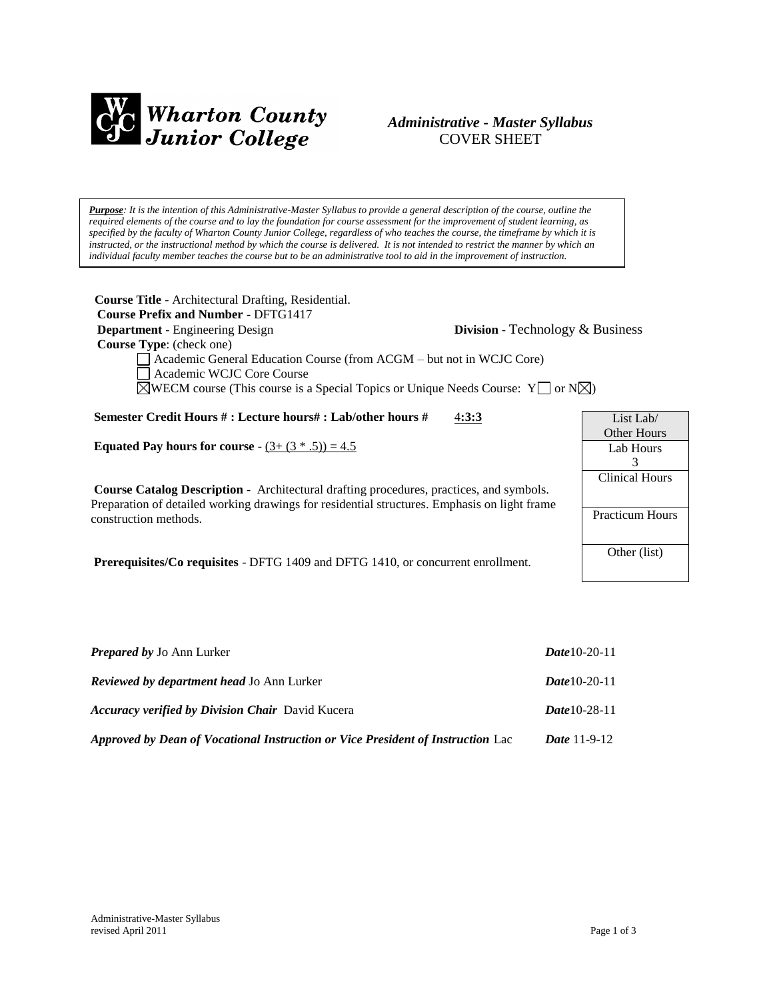

# *Administrative - Master Syllabus*  COVER SHEET

*Purpose: It is the intention of this Administrative-Master Syllabus to provide a general description of the course, outline the required elements of the course and to lay the foundation for course assessment for the improvement of student learning, as specified by the faculty of Wharton County Junior College, regardless of who teaches the course, the timeframe by which it is instructed, or the instructional method by which the course is delivered. It is not intended to restrict the manner by which an individual faculty member teaches the course but to be an administrative tool to aid in the improvement of instruction.*

**Course Title** - Architectural Drafting, Residential.  **Course Prefix and Number** - DFTG1417 **Department** - Engineering Design **Division** - Technology & Business  **Course Type**: (check one) Academic General Education Course (from ACGM – but not in WCJC Core) Academic WCJC Core Course  $\boxtimes$ WECM course (This course is a Special Topics or Unique Needs Course: Y  $\Box$  or N $\boxtimes$ ) **Semester Credit Hours # : Lecture hours# : Lab/other hours #** 4**:3:3 Equated Pay hours for course** -  $(3 + (3 * .5)) = 4.5$ **Course Catalog Description** - Architectural drafting procedures, practices, and symbols. Preparation of detailed working drawings for residential structures. Emphasis on light frame construction methods. **Prerequisites/Co requisites** - DFTG 1409 and DFTG 1410, or concurrent enrollment. List Lab/ Other Hours Lab Hours 3 Clinical Hours Practicum Hours Other (list)

| <b>Prepared by Jo Ann Lurker</b>                                                | <b>Date 10-20-11</b>  |
|---------------------------------------------------------------------------------|-----------------------|
| <b>Reviewed by department head Jo Ann Lurker</b>                                | <b>Date</b> 10-20-11  |
| <b>Accuracy verified by Division Chair</b> David Kucera                         | <i>Date</i> 10-28-11  |
| Approved by Dean of Vocational Instruction or Vice President of Instruction Lac | <i>Date</i> $11-9-12$ |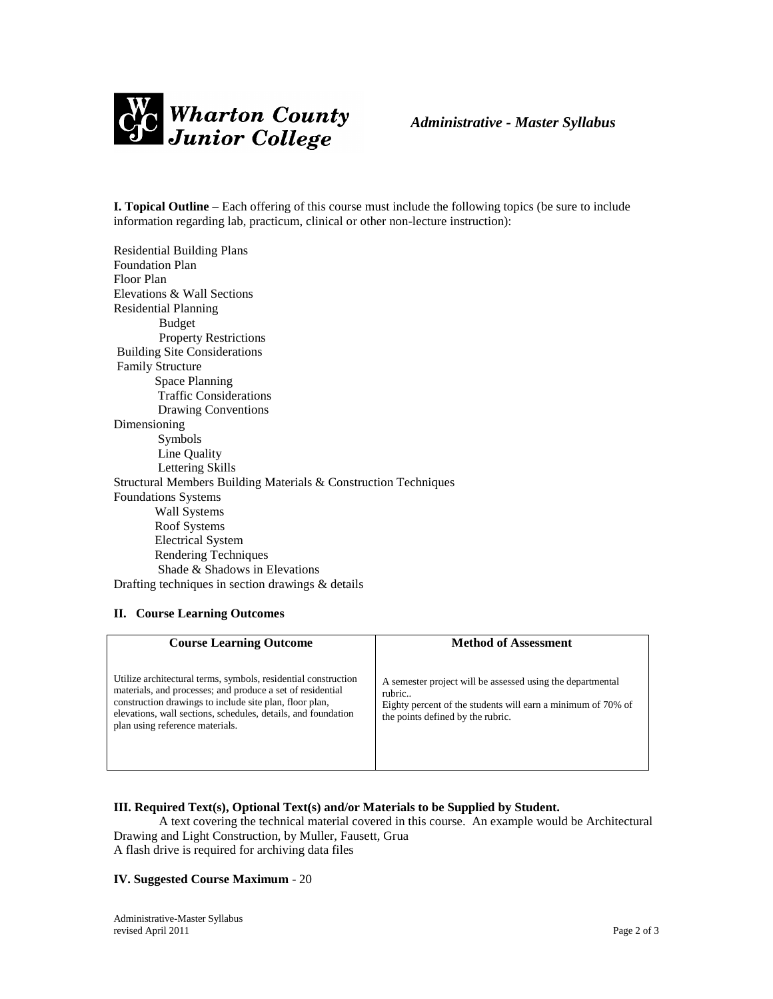

**I. Topical Outline** – Each offering of this course must include the following topics (be sure to include information regarding lab, practicum, clinical or other non-lecture instruction):

Residential Building Plans Foundation Plan Floor Plan Elevations & Wall Sections Residential Planning Budget Property Restrictions Building Site Considerations Family Structure Space Planning Traffic Considerations Drawing Conventions Dimensioning Symbols Line Quality Lettering Skills Structural Members Building Materials & Construction Techniques Foundations Systems Wall Systems Roof Systems Electrical System Rendering Techniques Shade & Shadows in Elevations Drafting techniques in section drawings & details

## **II. Course Learning Outcomes**

| <b>Course Learning Outcome</b>                                                                                                                                                                                                                                                              | <b>Method of Assessment</b>                                                                                                                                               |
|---------------------------------------------------------------------------------------------------------------------------------------------------------------------------------------------------------------------------------------------------------------------------------------------|---------------------------------------------------------------------------------------------------------------------------------------------------------------------------|
| Utilize architectural terms, symbols, residential construction<br>materials, and processes; and produce a set of residential<br>construction drawings to include site plan, floor plan,<br>elevations, wall sections, schedules, details, and foundation<br>plan using reference materials. | A semester project will be assessed using the departmental<br>rubric<br>Eighty percent of the students will earn a minimum of 70% of<br>the points defined by the rubric. |

## **III. Required Text(s), Optional Text(s) and/or Materials to be Supplied by Student.**

A text covering the technical material covered in this course. An example would be Architectural Drawing and Light Construction, by Muller, Fausett, Grua A flash drive is required for archiving data files

#### **IV. Suggested Course Maximum** - 20